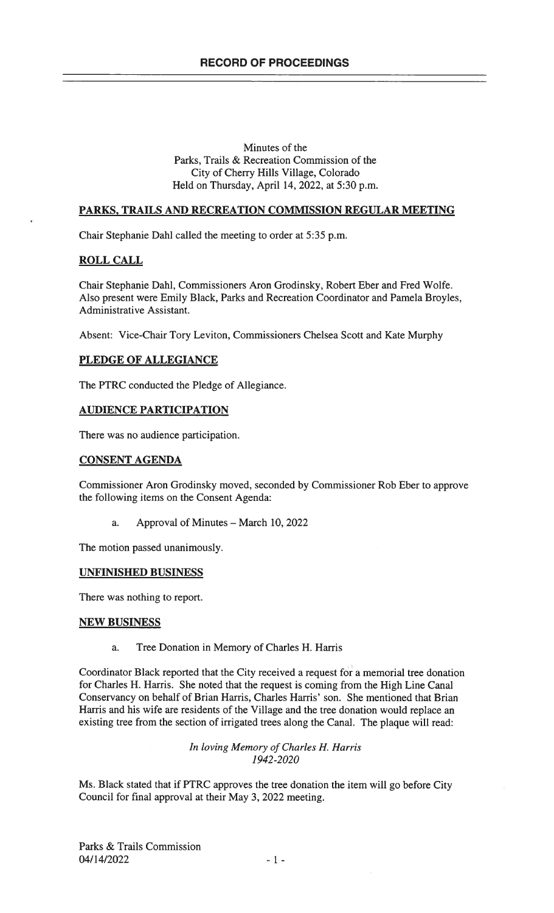## Minutes of the Parks, Trails & Recreation Commission of the City of Cherry Hills Village, Colorado Held on Thursday, April 14, 2022, at 5:30 p.m.

# PARKS, TRAILS AND RECREATION COMMISSION REGULAR MEETING

Chair Stephanie Dahl called the meeting to order at 5:35 p.m.

# ROLL CALL

Chair Stephanie Dahl, Commissioners Aron Grodinsky, Robert Eber and Fred Wolfe. Also present were Emily Black, Parks and Recreation Coordinator and Pamela Broyles, Administrative Assistant.

Absent: Vice-Chair Tory Leviton, Commissioners Chelsea Scott and Kate Murphy

# PLEDGE OF ALLEGIANCE

The PTRC conducted the Pledge of Allegiance.

# AUDIENCE PARTICIPATION

There was no audience participation.

## CONSENT AGENDA

Commissioner Aron Grodinsky moved, seconded by Commissioner Rob Eber to approve the following items on the Consent Agenda:

a. Approval of Minutes — March 10, 2022

The motion passed unanimously.

## UNFINISHED BUSINESS

There was nothing to report.

## NEW BUSINESS

a. Tree Donation in Memory of Charles H. Harris

Coordinator Black reported that the City received a request for a memorial tree donation for Charles H. Harris. She noted that the request is coming from the High Line Canal Conservancy on behalf of Brian Harris, Charles Harris' son. She mentioned that Brian Harris and his wife are residents of the Village and the tree donation would replace an existing tree from the section of irrigated trees along the Canal. The plaque will read:

> In loving Memory of Charles H. Harris 1942-2020

Ms. Black stated that if PTRC approves the tree donation the item will go before City Council for final approval at their May 3, 2022 meeting.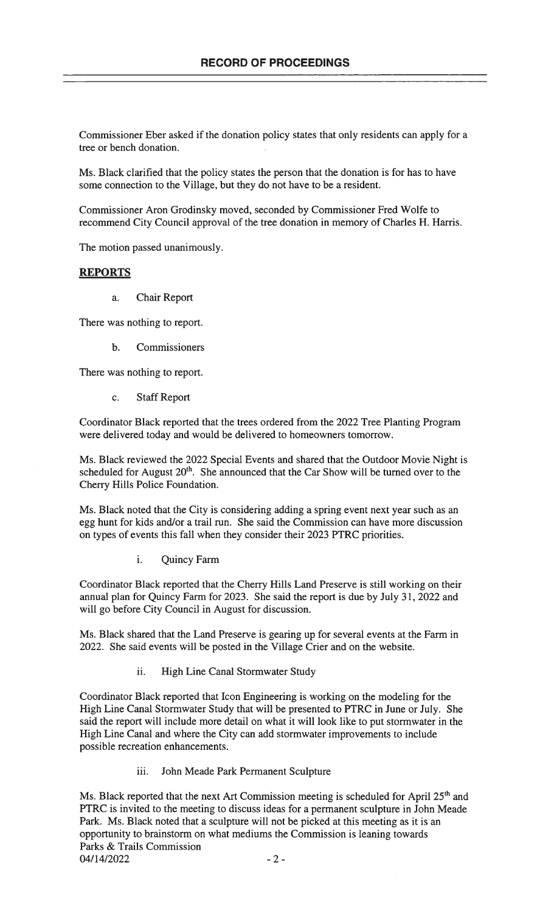Commissioner Eber asked if the donation policy states that only residents can apply for a tree or bench donation.

Ms. Black clarified that the policy states the person that the donation is for has to have some connection to the Village, but they do not have to be a resident.

Commissioner Aron Grodinsky moved, seconded by Commissioner Fred Wolfe to recommend City Council approval of the tree donation in memory of Charles H. Harris.

The motion passed unanimously.

#### REPORTS

a. Chair Report

There was nothing to report.

b. Commissioners

There was nothing to report.

c. Staff Report

Coordinator Black reported that the trees ordered from the 2022 Tree Planting Program were delivered today and would be delivered to homeowners tomorrow.

Ms. Black reviewed the 2022 Special Events and shared that the Outdoor Movie Night is scheduled for August  $20<sup>th</sup>$ . She announced that the Car Show will be turned over to the Cherry Hills Police Foundation.

Ms. Black noted that the City is considering adding a spring event next year such as an egg hunt for kids and/or a trail run. She said the Commission can have more discussion on types of events this fall when they consider their 2023 PTRC priorities.

i. Quincy Farm

Coordinator Black reported that the Cherry Hills Land Preserve is still working on their annual plan for Quincy Farm for 2023. She said the report is due by July 31, 2022 and will go before City Council in August for discussion.

Ms. Black shared that the Land Preserve is gearing up for several events at the Farm in 2022. She said events will be posted in the Village Crier and on the website.

ii. High Line Canal Stormwater Study

Coordinator Black reported that Icon Engineering is working on the modeling for the High Line Canal Stormwater Study that will be presented to PTRC in June or July. She said the report will include more detail on what it will look like to put stormwater in the High Line Canal and where the City can add stormwater improvements to include possible recreation enhancements.

iii. John Meade Park Permanent Sculpture

Ms. Black reported that the next Art Commission meeting is scheduled for April 25<sup>th</sup> and PTRC is invited to the meeting to discuss ideas for a permanent sculpture in John Meade Park. Ms. Black noted that a sculpture will not be picked at this meeting as it is an opportunity to brainstorm on what mediums the Commission is leaning towards Parks & Trails Commission  $04/14/2022$  -2